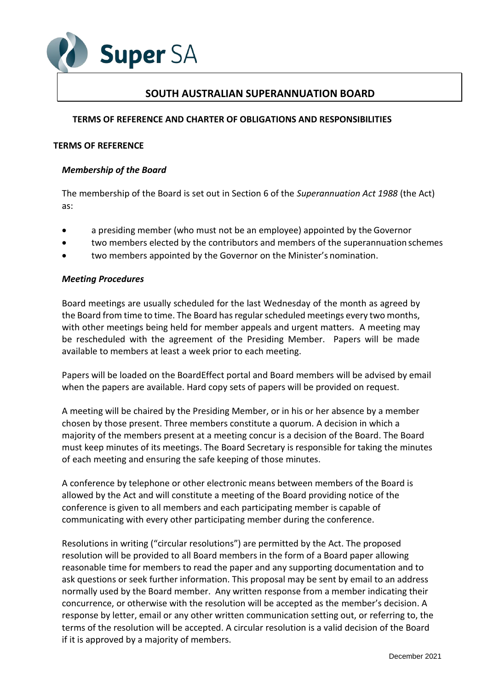

# **SOUTH AUSTRALIAN SUPERANNUATION BOARD**

### **TERMS OF REFERENCE AND CHARTER OF OBLIGATIONS AND RESPONSIBILITIES**

### **TERMS OF REFERENCE**

### *Membership of the Board*

The membership of the Board is set out in Section 6 of the *Superannuation Act 1988* (the Act) as:

- a presiding member (who must not be an employee) appointed by the Governor
- two members elected by the contributors and members of the superannuation schemes
- two members appointed by the Governor on the Minister's nomination.

#### *Meeting Procedures*

Board meetings are usually scheduled for the last Wednesday of the month as agreed by the Board from time to time. The Board has regular scheduled meetings every two months, with other meetings being held for member appeals and urgent matters. A meeting may be rescheduled with the agreement of the Presiding Member. Papers will be made available to members at least a week prior to each meeting.

Papers will be loaded on the BoardEffect portal and Board members will be advised by email when the papers are available. Hard copy sets of papers will be provided on request.

A meeting will be chaired by the Presiding Member, or in his or her absence by a member chosen by those present. Three members constitute a quorum. A decision in which a majority of the members present at a meeting concur is a decision of the Board. The Board must keep minutes of its meetings. The Board Secretary is responsible for taking the minutes of each meeting and ensuring the safe keeping of those minutes.

A conference by telephone or other electronic means between members of the Board is allowed by the Act and will constitute a meeting of the Board providing notice of the conference is given to all members and each participating member is capable of communicating with every other participating member during the conference.

Resolutions in writing ("circular resolutions") are permitted by the Act. The proposed resolution will be provided to all Board members in the form of a Board paper allowing reasonable time for members to read the paper and any supporting documentation and to ask questions or seek further information. This proposal may be sent by email to an address normally used by the Board member. Any written response from a member indicating their concurrence, or otherwise with the resolution will be accepted as the member's decision. A response by letter, email or any other written communication setting out, or referring to, the terms of the resolution will be accepted. A circular resolution is a valid decision of the Board if it is approved by a majority of members.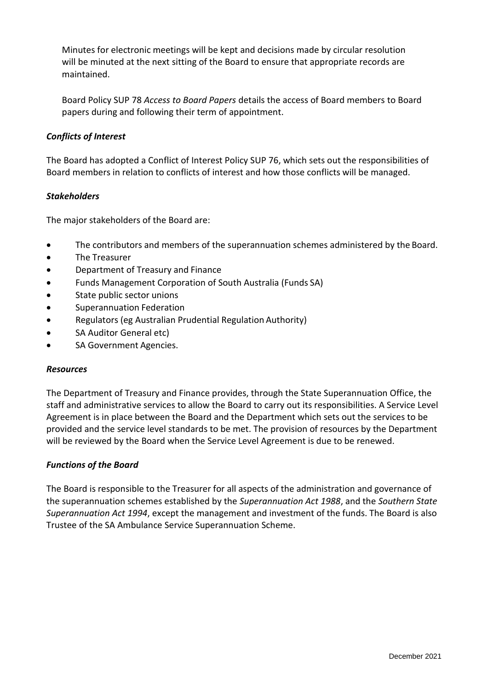Minutes for electronic meetings will be kept and decisions made by circular resolution will be minuted at the next sitting of the Board to ensure that appropriate records are maintained.

Board Policy SUP 78 *Access to Board Papers* details the access of Board members to Board papers during and following their term of appointment.

## *Conflicts of Interest*

The Board has adopted a Conflict of Interest Policy SUP 76, which sets out the responsibilities of Board members in relation to conflicts of interest and how those conflicts will be managed.

## *Stakeholders*

The major stakeholders of the Board are:

- The contributors and members of the superannuation schemes administered by the Board.
- The Treasurer
- Department of Treasury and Finance
- Funds Management Corporation of South Australia (Funds SA)
- State public sector unions
- Superannuation Federation
- Regulators (eg Australian Prudential Regulation Authority)
- SA Auditor General etc)
- SA Government Agencies.

### *Resources*

The Department of Treasury and Finance provides, through the State Superannuation Office, the staff and administrative services to allow the Board to carry out its responsibilities. A Service Level Agreement is in place between the Board and the Department which sets out the services to be provided and the service level standards to be met. The provision of resources by the Department will be reviewed by the Board when the Service Level Agreement is due to be renewed.

## *Functions of the Board*

The Board is responsible to the Treasurer for all aspects of the administration and governance of the superannuation schemes established by the *Superannuation Act 1988*, and the *Southern State Superannuation Act 1994*, except the management and investment of the funds. The Board is also Trustee of the SA Ambulance Service Superannuation Scheme.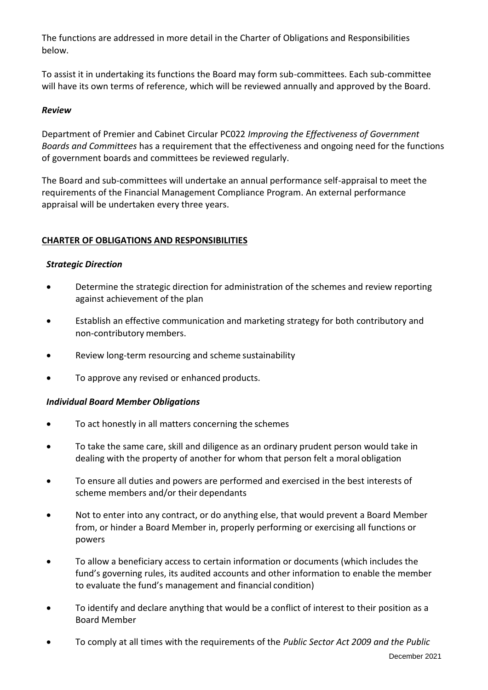The functions are addressed in more detail in the Charter of Obligations and Responsibilities below.

To assist it in undertaking its functions the Board may form sub-committees. Each sub-committee will have its own terms of reference, which will be reviewed annually and approved by the Board.

## *Review*

Department of Premier and Cabinet Circular PC022 *Improving the Effectiveness of Government Boards and Committees* has a requirement that the effectiveness and ongoing need for the functions of government boards and committees be reviewed regularly.

The Board and sub-committees will undertake an annual performance self-appraisal to meet the requirements of the Financial Management Compliance Program. An external performance appraisal will be undertaken every three years.

## **CHARTER OF OBLIGATIONS AND RESPONSIBILITIES**

## *Strategic Direction*

- Determine the strategic direction for administration of the schemes and review reporting against achievement of the plan
- Establish an effective communication and marketing strategy for both contributory and non-contributory members.
- Review long-term resourcing and scheme sustainability
- To approve any revised or enhanced products.

## *Individual Board Member Obligations*

- To act honestly in all matters concerning the schemes
- To take the same care, skill and diligence as an ordinary prudent person would take in dealing with the property of another for whom that person felt a moral obligation
- To ensure all duties and powers are performed and exercised in the best interests of scheme members and/or their dependants
- Not to enter into any contract, or do anything else, that would prevent a Board Member from, or hinder a Board Member in, properly performing or exercising all functions or powers
- To allow a beneficiary access to certain information or documents (which includes the fund's governing rules, its audited accounts and other information to enable the member to evaluate the fund's management and financial condition)
- To identify and declare anything that would be a conflict of interest to their position as a Board Member
- To comply at all times with the requirements of the *Public Sector Act 2009 and the Public*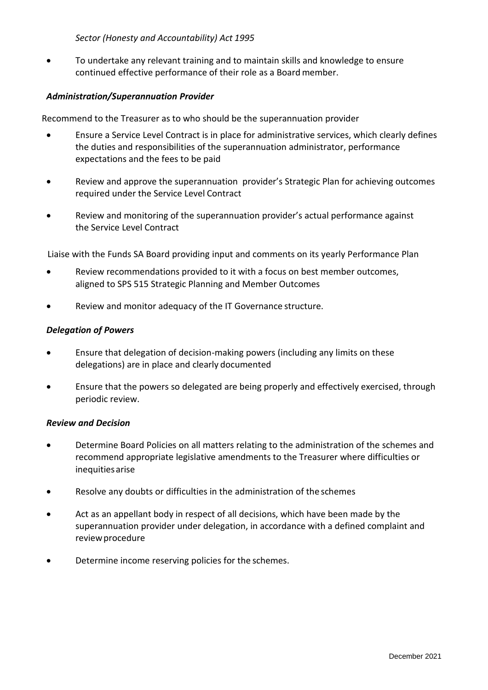## *Sector (Honesty and Accountability) Act 1995*

 To undertake any relevant training and to maintain skills and knowledge to ensure continued effective performance of their role as a Board member.

## *Administration/Superannuation Provider*

Recommend to the Treasurer as to who should be the superannuation provider

- Ensure a Service Level Contract is in place for administrative services, which clearly defines the duties and responsibilities of the superannuation administrator, performance expectations and the fees to be paid
- Review and approve the superannuation provider's Strategic Plan for achieving outcomes required under the Service Level Contract
- Review and monitoring of the superannuation provider's actual performance against the Service Level Contract

Liaise with the Funds SA Board providing input and comments on its yearly Performance Plan

- Review recommendations provided to it with a focus on best member outcomes, aligned to SPS 515 Strategic Planning and Member Outcomes
- Review and monitor adequacy of the IT Governance structure.

## *Delegation of Powers*

- Ensure that delegation of decision-making powers (including any limits on these delegations) are in place and clearly documented
- Ensure that the powers so delegated are being properly and effectively exercised, through periodic review.

### *Review and Decision*

- Determine Board Policies on all matters relating to the administration of the schemes and recommend appropriate legislative amendments to the Treasurer where difficulties or inequitiesarise
- Resolve any doubts or difficulties in the administration of the schemes
- Act as an appellant body in respect of all decisions, which have been made by the superannuation provider under delegation, in accordance with a defined complaint and reviewprocedure
- Determine income reserving policies for the schemes.